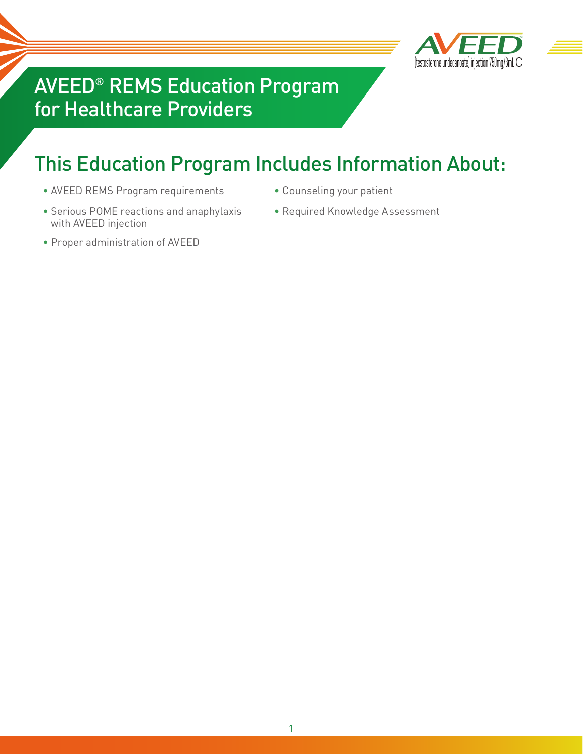

## AVEED® REMS Education Program for Healthcare Providers

# This Education Program Includes Information About:

- AVEED REMS Program requirements Counseling your patient
- Serious POME reactions and anaphylaxis with AVEED injection
- 
- Required Knowledge Assessment
- Proper administration of AVEED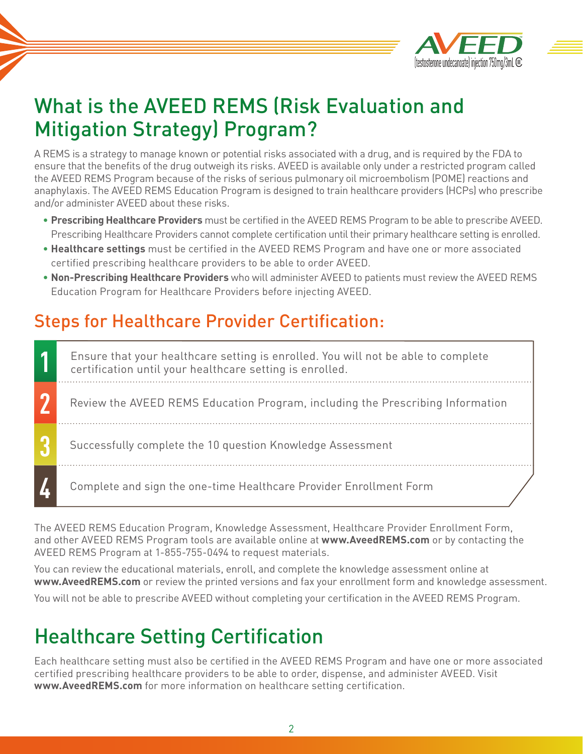

# What is the AVEED REMS (Risk Evaluation and Mitigation Strategy) Program?

A REMS is a strategy to manage known or potential risks associated with a drug, and is required by the FDA to ensure that the benefits of the drug outweigh its risks. AVEED is available only under a restricted program called the AVEED REMS Program because of the risks of serious pulmonary oil microembolism (POME) reactions and anaphylaxis. The AVEED REMS Education Program is designed to train healthcare providers (HCPs) who prescribe and/or administer AVEED about these risks.

- **Prescribing Healthcare Providers** must be certified in the AVEED REMS Program to be able to prescribe AVEED. Prescribing Healthcare Providers cannot complete certification until their primary healthcare setting is enrolled.
- **Healthcare settings** must be certified in the AVEED REMS Program and have one or more associated certified prescribing healthcare providers to be able to order AVEED.
- **Non-Prescribing Healthcare Providers** who will administer AVEED to patients must review the AVEED REMS Education Program for Healthcare Providers before injecting AVEED.

## Steps for Healthcare Provider Certification:

Review the AVEED REMS Education Program, including the Prescribing Information Successfully complete the 10 question Knowledge Assessment Complete and sign the one-time Healthcare Provider Enrollment Form **1 2 3 4** Ensure that your healthcare setting is enrolled. You will not be able to complete certification until your healthcare setting is enrolled.

The AVEED REMS Education Program, Knowledge Assessment, Healthcare Provider Enrollment Form, and other AVEED REMS Program tools are available online at **www.AveedREMS.com** or by contacting the AVEED REMS Program at 1-855-755-0494 to request materials.

You can review the educational materials, enroll, and complete the knowledge assessment online at **www.AveedREMS.com** or review the printed versions and fax your enrollment form and knowledge assessment.

You will not be able to prescribe AVEED without completing your certification in the AVEED REMS Program.

# Healthcare Setting Certification

Each healthcare setting must also be certified in the AVEED REMS Program and have one or more associated certified prescribing healthcare providers to be able to order, dispense, and administer AVEED. Visit **www.AveedREMS.com** for more information on healthcare setting certification.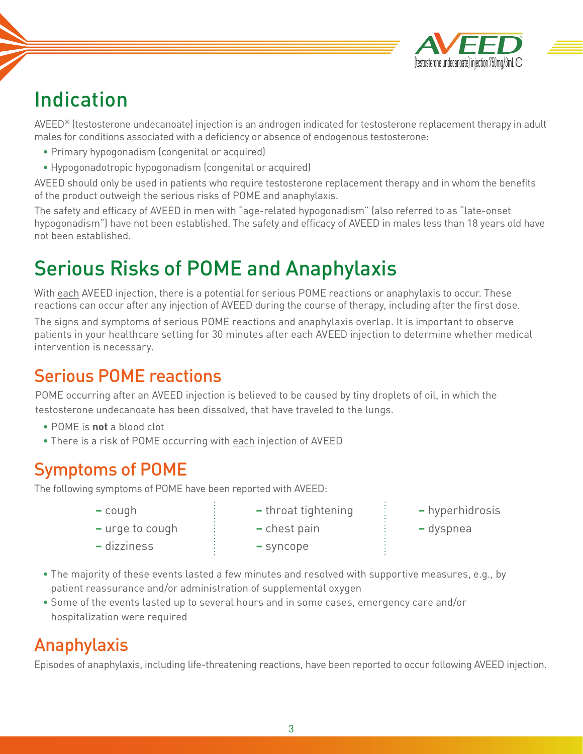

# Indication

AVEED® (testosterone undecanoate) injection is an androgen indicated for testosterone replacement therapy in adult males for conditions associated with a deficiency or absence of endogenous testosterone:

- Primary hypogonadism (congenital or acquired)
- Hypogonadotropic hypogonadism (congenital or acquired)

AVEED should only be used in patients who require testosterone replacement therapy and in whom the benefits of the product outweigh the serious risks of POME and anaphylaxis.

The safety and efficacy of AVEED in men with "age-related hypogonadism" (also referred to as "late-onset hypogonadism") have not been established. The safety and efficacy of AVEED in males less than 18 years old have not been established.

# Serious Risks of POME and Anaphylaxis

With each AVEED injection, there is a potential for serious POME reactions or anaphylaxis to occur. These reactions can occur after any injection of AVEED during the course of therapy, including after the first dose.

The signs and symptoms of serious POME reactions and anaphylaxis overlap. It is important to observe patients in your healthcare setting for 30 minutes after each AVEED injection to determine whether medical intervention is necessary.

### Serious POME reactions

POME occurring after an AVEED injection is believed to be caused by tiny droplets of oil, in which the testosterone undecanoate has been dissolved, that have traveled to the lungs.

- POME is **not** a blood clot
- There is a risk of POME occurring with each injection of AVEED

## Symptoms of POME

The following symptoms of POME have been reported with AVEED:

- 
- **–** urge to cough **–** chest pain **–** dyspnea
- **–** dizziness **–** syncope
- 
- 
- **–** cough **–** throat tightening **–** hyperhidrosis
	-
- The majority of these events lasted a few minutes and resolved with supportive measures, e.g., by patient reassurance and/or administration of supplemental oxygen
- Some of the events lasted up to several hours and in some cases, emergency care and/or hospitalization were required

## Anaphylaxis

Episodes of anaphylaxis, including life-threatening reactions, have been reported to occur following AVEED injection.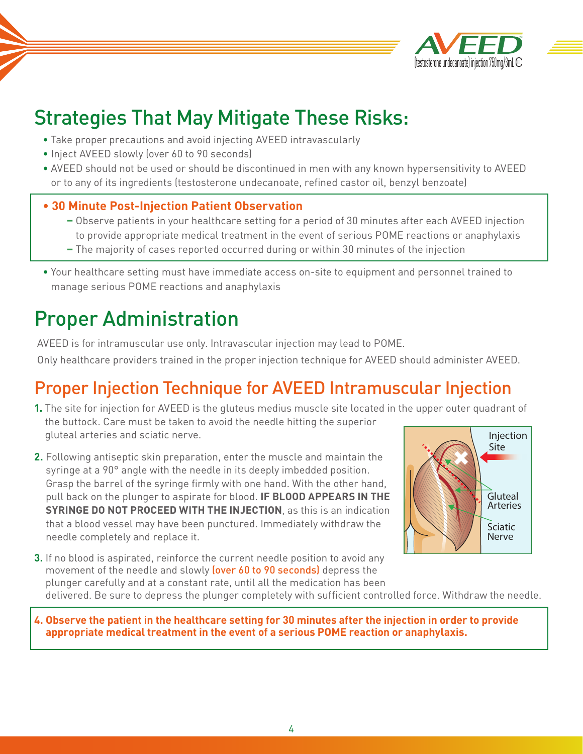

# Strategies That May Mitigate These Risks:

- Take proper precautions and avoid injecting AVEED intravascularly
- Inject AVEED slowly (over 60 to 90 seconds)
- AVEED should not be used or should be discontinued in men with any known hypersensitivity to AVEED or to any of its ingredients (testosterone undecanoate, refined castor oil, benzyl benzoate)

### **• 30 Minute Post-Injection Patient Observation**

- **–** Observe patients in your healthcare setting for a period of 30 minutes after each AVEED injection to provide appropriate medical treatment in the event of serious POME reactions or anaphylaxis
- **–** The majority of cases reported occurred during or within 30 minutes of the injection
- Your healthcare setting must have immediate access on-site to equipment and personnel trained to manage serious POME reactions and anaphylaxis

# Proper Administration

AVEED is for intramuscular use only. Intravascular injection may lead to POME. Only healthcare providers trained in the proper injection technique for AVEED should administer AVEED.

## Proper Injection Technique for AVEED Intramuscular Injection

- **1.** The site for injection for AVEED is the gluteus medius muscle site located in the upper outer quadrant of the buttock. Care must be taken to avoid the needle hitting the superior gluteal arteries and sciatic nerve. Injection
- **2.** Following antiseptic skin preparation, enter the muscle and maintain the syringe at a 90° angle with the needle in its deeply imbedded position. Grasp the barrel of the syringe firmly with one hand. With the other hand, pull back on the plunger to aspirate for blood. **IF BLOOD APPEARS IN THE SYRINGE DO NOT PROCEED WITH THE INJECTION**, as this is an indication that a blood vessel may have been punctured. Immediately withdraw the needle completely and replace it.



**3.** If no blood is aspirated, reinforce the current needle position to avoid any movement of the needle and slowly (over 60 to 90 seconds) depress the plunger carefully and at a constant rate, until all the medication has been delivered. Be sure to depress the plunger completely with sufficient controlled force. Withdraw the needle.

**4. Observe the patient in the healthcare setting for 30 minutes after the injection in order to provide appropriate medical treatment in the event of a serious POME reaction or anaphylaxis.**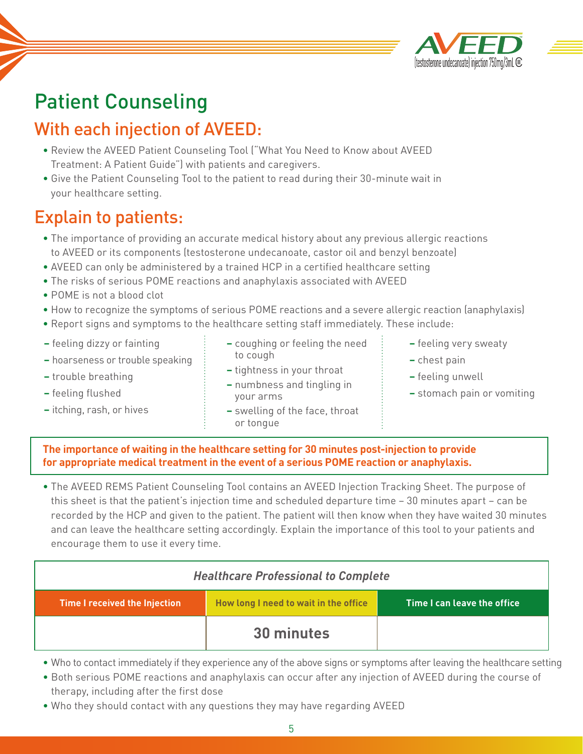

# Patient Counseling

## With each injection of AVEED:

- Review the AVEED Patient Counseling Tool ("What You Need to Know about AVEED Treatment: A Patient Guide") with patients and caregivers.
- Give the Patient Counseling Tool to the patient to read during their 30-minute wait in your healthcare setting.

### Explain to patients:

- The importance of providing an accurate medical history about any previous allergic reactions to AVEED or its components (testosterone undecanoate, castor oil and benzyl benzoate)
- AVEED can only be administered by a trained HCP in a certified healthcare setting
- The risks of serious POME reactions and anaphylaxis associated with AVEED
- POME is not a blood clot
- How to recognize the symptoms of serious POME reactions and a severe allergic reaction (anaphylaxis)
- Report signs and symptoms to the healthcare setting staff immediately. These include:
- **–** feeling dizzy or fainting
- **–** hoarseness or trouble speaking
- **–** trouble breathing
- **–** feeling flushed
- **–** itching, rash, or hives
- **–** coughing or feeling the need to cough
- **–** tightness in your throat **–** numbness and tingling in your arms
- **–** swelling of the face, throat or tongue
- **–** feeling very sweaty
- **–** chest pain
- **–** feeling unwell
- **–** stomach pain or vomiting

#### **The importance of waiting in the healthcare setting for 30 minutes post-injection to provide for appropriate medical treatment in the event of a serious POME reaction or anaphylaxis.**

• The AVEED REMS Patient Counseling Tool contains an AVEED Injection Tracking Sheet. The purpose of this sheet is that the patient's injection time and scheduled departure time – 30 minutes apart – can be recorded by the HCP and given to the patient. The patient will then know when they have waited 30 minutes and can leave the healthcare setting accordingly. Explain the importance of this tool to your patients and encourage them to use it every time.

| <b>Healthcare Professional to Complete</b> |                                       |                             |  |
|--------------------------------------------|---------------------------------------|-----------------------------|--|
| Time I received the Injection              | How long I need to wait in the office | Time I can leave the office |  |
|                                            | 30 minutes                            |                             |  |

- Who to contact immediately if they experience any of the above signs or symptoms after leaving the healthcare setting
- Both serious POME reactions and anaphylaxis can occur after any injection of AVEED during the course of therapy, including after the first dose
- Who they should contact with any questions they may have regarding AVEED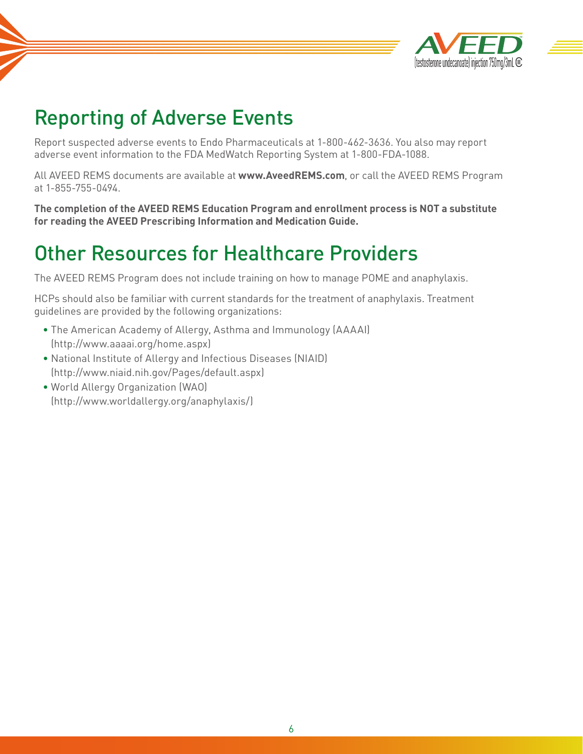

## Reporting of Adverse Events

Report suspected adverse events to Endo Pharmaceuticals at 1-800-462-3636. You also may report adverse event information to the FDA MedWatch Reporting System at 1-800-FDA-1088.

All AVEED REMS documents are available at **www.AveedREMS.com**, or call the AVEED REMS Program at 1-855-755-0494.

**The completion of the AVEED REMS Education Program and enrollment process is NOT a substitute for reading the AVEED Prescribing Information and Medication Guide.**

## Other Resources for Healthcare Providers

The AVEED REMS Program does not include training on how to manage POME and anaphylaxis.

HCPs should also be familiar with current standards for the treatment of anaphylaxis. Treatment guidelines are provided by the following organizations:

- The American Academy of Allergy, Asthma and Immunology (AAAAI) (http://www.aaaai.org/home.aspx)
- National Institute of Allergy and Infectious Diseases (NIAID) (http://www.niaid.nih.gov/Pages/default.aspx)
- World Allergy Organization (WAO) (http://www.worldallergy.org/anaphylaxis/)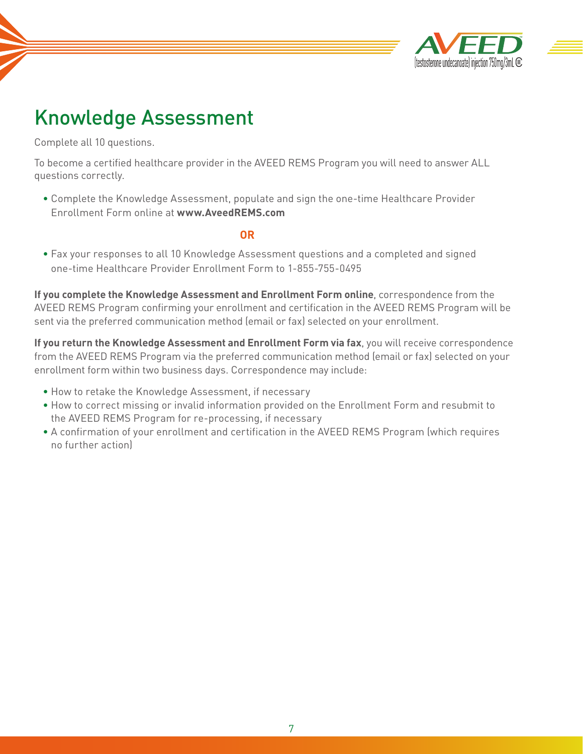

## Knowledge Assessment

Complete all 10 questions.

To become a certified healthcare provider in the AVEED REMS Program you will need to answer ALL questions correctly.

• Complete the Knowledge Assessment, populate and sign the one-time Healthcare Provider Enrollment Form online at **www.AveedREMS.com**

#### *OR* **OR**

• Fax your responses to all 10 Knowledge Assessment questions and a completed and signed one-time Healthcare Provider Enrollment Form to 1-855-755-0495

**If you complete the Knowledge Assessment and Enrollment Form online**, correspondence from the AVEED REMS Program confirming your enrollment and certification in the AVEED REMS Program will be sent via the preferred communication method (email or fax) selected on your enrollment.

**If you return the Knowledge Assessment and Enrollment Form via fax**, you will receive correspondence from the AVEED REMS Program via the preferred communication method (email or fax) selected on your enrollment form within two business days. Correspondence may include:

- How to retake the Knowledge Assessment, if necessary
- How to correct missing or invalid information provided on the Enrollment Form and resubmit to the AVEED REMS Program for re-processing, if necessary
- A confirmation of your enrollment and certification in the AVEED REMS Program (which requires no further action)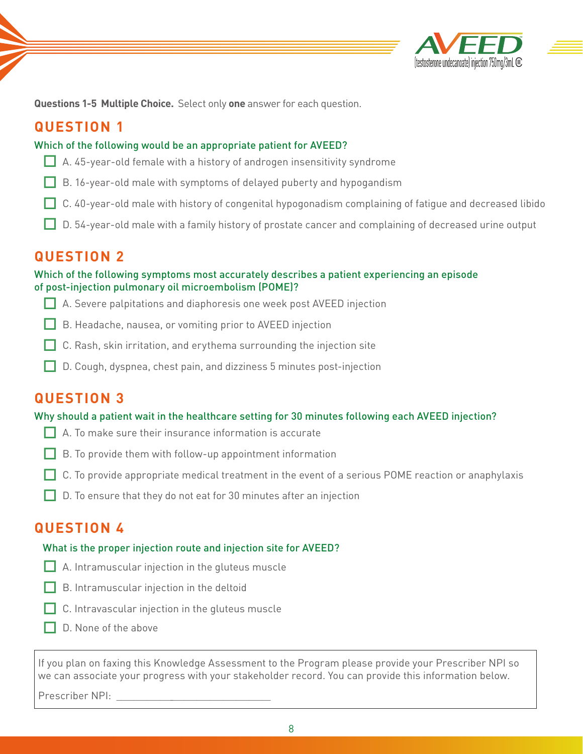

**Questions 1-5 Multiple Choice.** Select only **one** answer for each question.

### **QUESTION 1**

#### Which of the following would be an appropriate patient for AVEED?

- $\Box$  A. 45-year-old female with a history of androgen insensitivity syndrome
- $\Box$  B. 16-year-old male with symptoms of delayed puberty and hypogandism
- $\Box$  C. 40-year-old male with history of congenital hypogonadism complaining of fatigue and decreased libido
- $\Box$  D. 54-year-old male with a family history of prostate cancer and complaining of decreased urine output

### **QUESTION 2**

#### Which of the following symptoms most accurately describes a patient experiencing an episode of post-injection pulmonary oil microembolism (POME)?

- $\Box$  A. Severe palpitations and diaphoresis one week post AVEED injection
- B. Headache, nausea, or vomiting prior to AVEED injection
- $\Box$  C. Rash, skin irritation, and erythema surrounding the injection site
- $\Box$  D. Cough, dyspnea, chest pain, and dizziness 5 minutes post-injection

### **QUESTION 3**

#### Why should a patient wait in the healthcare setting for 30 minutes following each AVEED injection?

- $\Box$  A. To make sure their insurance information is accurate
- $\Box$  B. To provide them with follow-up appointment information
- $\Box$  C. To provide appropriate medical treatment in the event of a serious POME reaction or anaphylaxis
- $\Box$  D. To ensure that they do not eat for 30 minutes after an injection

### **QUESTION 4**

#### What is the proper injection route and injection site for AVEED?

- $\Box$  A. Intramuscular injection in the gluteus muscle
- $\Box$  B. Intramuscular injection in the deltoid
- $\Box$  C. Intravascular injection in the gluteus muscle
- $\Box$  D. None of the above

If you plan on faxing this Knowledge Assessment to the Program please provide your Prescriber NPI so we can associate your progress with your stakeholder record. You can provide this information below.

Prescriber NPI: